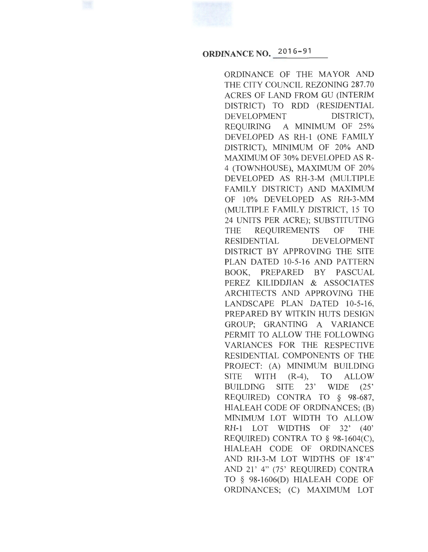**ORDINANCE NO.** 2016-91

ORDINANCE OF THE MAYOR AND THE CITY COUNCIL REZONING 287.70 ACRES OF LAND FROM GU (INTERIM DISTRICT) TO RDD (RESIDENTIAL DEVELOPMENT DISTRICT), REQUIRING A MINIMUM OF 25% DEVELOPED AS RH-1 (ONE FAMILY DISTRICT), MINIMUM OF 20% AND MAXIMUM OF 30% DEVELOPED AS R-4 (TOWNHOUSE), MAXIMUM OF 20% DEVELOPED AS RH-3-M (MULTIPLE FAMILY DISTRICT) AND MAXIMUM OF 10% DEVELOPED AS RH-3-MM (MULTIPLE FAMILY DISTRICT, 15 TO 24 UNITS PER ACRE); SUBSTITUTING THE REQUIREMENTS OF THE RESIDENTIAL DEVELOPMENT DISTRICT BY APPROVING THE SITE PLAN DATED 10-5-16 AND PATTERN BOOK, PREPARED BY PASCUAL PEREZ KILIDDJIAN & ASSOCIATES ARCHITECTS AND APPROVING THE LANDSCAPE PLAN DATED 10-5-16, PREPARED BY WITKIN HUTS DESIGN GROUP; GRANTING A VARIANCE PERMIT TO ALLOW THE FOLLOWING VARIANCES FOR THE RESPECTIVE RESIDENTIAL COMPONENTS OF THE PROJECT: (A) MINIMUM BUILDING SITE WITH (R-4), TO ALLOW BUILDING SITE 23' WIDE (25' REQUIRED) CONTRA TO § 98-687, HIALEAH CODE OF ORDINANCES; (B) MINIMUM LOT WIDTH TO ALLOW RH-1 LOT WIDTHS OF 32' (40' REQUIRED) CONTRA TO § 98-1604(C), HIALEAH CODE OF ORDINANCES AND RH-3-M LOT WIDTHS OF 18'4" AND 21' 4" (75' REQUIRED) CONTRA TO § 98-1606(D) HIALEAH CODE OF ORDINANCES; (C) MAXIMUM LOT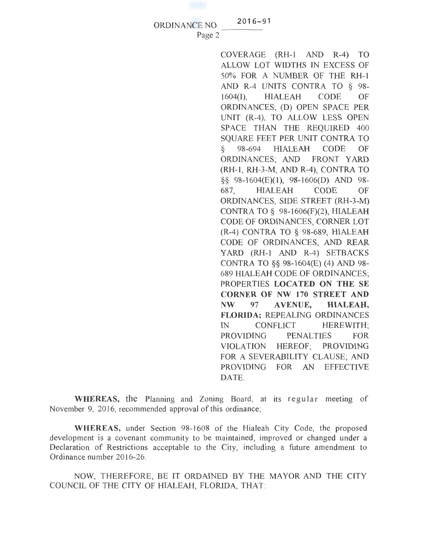ORDINANCE NO.

Page 2

 $2016 - 91$ 

COVERAGE (RH-1 AND R-4) TO ALLOW LOT WIDTHS IN EXCESS OF 50% FOR A NUMBER OF THE RH-1 AND R-4 UNITS CONTRA TO § 98- 1604(1), HIALEAH CODE OF ORDINANCES; (D) OPEN SPACE PER UNIT (R-4), TO ALLOW LESS OPEN SPACE THAN THE REQUIRED 400 SQUARE FEET PER UNIT CONTRA TO § 98-694 HIALEAH CODE OF ORDINANCES; AND FRONT YARD (RH-1 , RH-3-M, AND R-4), CONTRA TO §§ 98-1604(E)(1), 98-1606(D) AND 98- 687, HIALEAH CODE OF ORDINANCES, SIDE STREET (RH-3-M) CONTRA TO§ 98-1606(F)(2), HIALEAH CODE OF ORDINANCES, CORNER LOT (R-4) CONTRA TO § 98-689, HIALEAH CODE OF ORDINANCES, AND REAR YARD (RH-1 AND R-4) SETBACKS CONTRA TO §§ 98-1604(E) (4) AND 98- 689 HIALEAH CODE OF ORDINANCES; PROPERTIES LOCATED ON THE SE CORNER OF NW 170 STREET AND NW 97 A VENUE, HIALEAH, FLORIDA; REPEALING ORDINANCES IN CONFLICT HEREWITH; PROVIDING PENALTIES FOR VIOLATION HEREOF; PROVIDING FOR A SEVERABILITY CLAUSE; AND PROVIDING FOR AN EFFECTIVE DATE.

WHEREAS, the Planning and Zoning Board, at its regular meeting of November 9, 2016, recommended approval of this ordinance;

WHEREAS, under Section 98-1608 of the Hialeah City Code, the proposed development is a covenant community to be maintained, improved or changed under a Declaration of Restrictions acceptable to the City, including a future amendment to Ordinance number 2016-26.

NOW, THEREFORE, BE IT ORDAINED BY THE MAYOR AND THE CITY COUNCIL OF THE CITY OF HIALEAH, FLORIDA, THAT: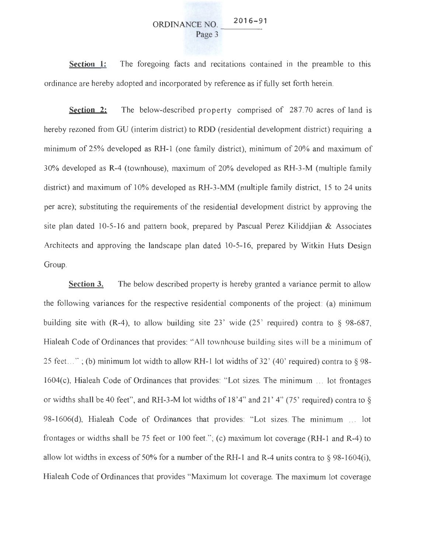#### ORDINANCE NO.  $016 - 91$ Page 3

**Section 1:**  The foregoing facts and recitations contained in the preamble to this ordinance are hereby adopted and incorporated by reference as if fully set forth herein.

**Section 2:** The below-described property comprised of 287.70 acres of land is hereby rezoned from GU (interim district) to RDD (residential development district) requiring a minimum of 25% developed as RH-1 (one family district), minimum of 20% and maximum of 30% developed as R-4 (townhouse), maximum of 20% developed as RH-3-M (multiple family district) and maximum of 10% developed as RH-3-MM (multiple family district, 15 to 24 units per acre); substituting the requirements of the residential development district by approving the site plan dated 10-5-16 and pattern book, prepared by Pascual Perez Kiliddjian  $\&$  Associates Architects and approving the landscape plan dated 10-5-16, prepared by Witkin Huts Design Group.

**Section 3.** The below described property is hereby granted a variance permit to allow the following variances for the respective residential components of the project: (a) minimum building site with  $(R-4)$ , to allow building site 23' wide  $(25')$  required) contra to § 98-687, Hialeah Code of Ordinances that provides: "All townhouse building sites will be a minimum of 25 feet..."; (b) minimum lot width to allow RH-1 lot widths of  $32'$  (40' required) contra to §98-1604(c), Hialeah Code of Ordinances that provides: "Lot sizes. The minimum ... lot frontages or widths shall be 40 feet", and RH-3-M lot widths of  $18'4''$  and  $21'4''$  (75' required) contra to  $\S$ 98-1606(d), Hialeah Code of Ordinances that provides: "Lot sizes. The minimum ... lot frontages or widths shall be 75 feet or 100 feet."; (c) maximum lot coverage (RH-1 and R-4) to allow lot widths in excess of 50% for a number of the RH-1 and R-4 units contra to  $\S$  98-1604(i), Hialeah Code of Ordinances that provides "Maximum lot coverage. The maximum lot coverage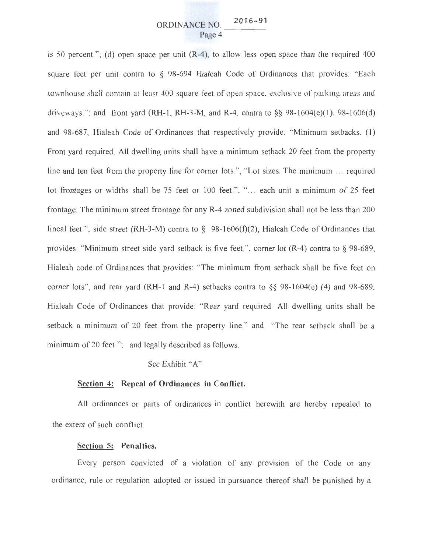is 50 percent."; (d) open space per unit  $(R-4)$ , to allow less open space than the required 400 square feet per unit contra to § 98-694 Hialeah Code of Ordinances that provides: "Each townhouse shall contain at least 400 square feet of open space. exclusive of parking areas and driveways."; and front yard (RH-1, RH-3-M, and R-4, contra to  $\S$ § 98-1604(e)(1), 98-1606(d) and 98-687, Hialeah Code of Ordinances that respectively provide: "Minimum setbacks. (1) Front yard required. All dwelling units shall have a minimum setback 20 feet from the property line and ten feet from the property line for corner lots.", "Lot sizes. The minimum ... required lot frontages or widths shall be 75 feet or 100 feet.", "... each unit a minimum of 25 feet frontage. The minimum street frontage for any R-4 zoned subdivision shall not be less than 200 lineal feet.", side street (RH-3-M) contra to  $\S$  98-1606(f)(2), Hialeah Code of Ordinances that provides: "Minimum street side yard setback is five feet. ", corner lot (R-4) contra to § 98-689, Hialeah code of Ordinances that provides: "The minimum front setback shall be five feet on corner lots", and rear yard (RH-1 and R-4) setbacks contra to  $\S$ § 98-1604(e) (4) and 98-689, Hialeah Code of Ordinances that provide: "Rear yard required. All dwelling units shall be setback a minimum of 20 feet from the property line." and "The rear setback shall be a minimum of 20 feet."; and legally described as follows:

# See Exhibit "A"

## **Section 4: Repeal of Ordinances in Conflict.**

All ordinances or parts of ordinances in conflict herewith are hereby repealed to the extent of such conflict.

# **Section 5: Penalties.**

Every person convicted of a violation of any provision of the Code or any ordinance, rule or regulation adopted or issued in pursuance thereof shall be punished by a